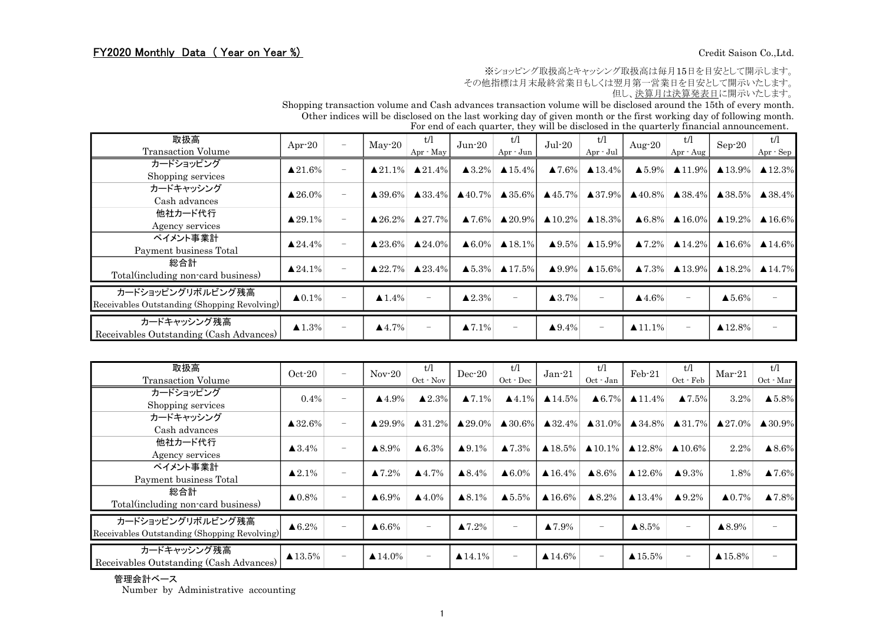## FY2020 Monthly Data (Year on Year %) Credit Saison Co.,Ltd.

※ショッピング取扱高とキャッシング取扱高は毎月15日を目安として開示します。

その他指標は月末最終営業日もしくは翌月第一営業日を目安として開示いたします。

但し、決算月は決算発表日に開示いたします。

Shopping transaction volume and Cash advances transaction volume will be disclosed around the 15th of every month. Other indices will be disclosed on the last working day of given month or the first working day of following month.

For end of each quarter, they will be disclosed in the quarterly financial announcement.

| 取扱高<br><b>Transaction Volume</b>                                  | Apr-20                |                   | $May-20$              | t/l<br>Apr · May         | $Jun-20$               | t/l<br>Apr - Jun   | $Jul-20$           | t/l<br>Apr - Jul   | Aug- $20$              | t/l<br>Apr · Aug                                        | $Sep-20$               | t/l<br>Apr - Sep   |
|-------------------------------------------------------------------|-----------------------|-------------------|-----------------------|--------------------------|------------------------|--------------------|--------------------|--------------------|------------------------|---------------------------------------------------------|------------------------|--------------------|
| カードショッピング<br>Shopping services                                    | $\triangle 21.6\%$    | $\qquad \qquad -$ | $\triangle 21.1\%$    | $\triangle 21.4\%$       | $\triangle 3.2\%$      | $\triangle 15.4\%$ | $\triangle 7.6\%$  | $\triangle 13.4\%$ | $\triangle 5.9\%$      | $\triangle 11.9\%$                                      | $\triangle 13.9\%$     | $\triangle 12.3\%$ |
| カードキャッシング<br>Cash advances                                        | $\triangle 26.0\%$    |                   | $\triangle 39.6\%$    | $\triangle 33.4\%$       | $\triangle$ 40.7%      | $\triangle 35.6\%$ | $\triangle$ 45.7%  | $\triangle$ 37.9%  | $\triangle$ 40.8%      | $\triangle$ 38.4%                                       | $\triangle$ 38.5%      | $\triangle$ 38.4%  |
| 他社カード代行<br>Agency services                                        | $\triangle 29.1\%$    |                   | $\triangle 26.2\%$    | $\triangle 27.7\%$       | $\blacktriangle 7.6\%$ | $\triangle 20.9\%$ | $\triangle 10.2\%$ | $\triangle$ 18.3%  |                        | $\triangle 6.8\%$ $\triangle 16.0\%$ $\triangle 19.2\%$ |                        | $\triangle 16.6\%$ |
| ペイメント事業計<br>Payment business Total                                | $\triangle 24.4\%$    | $\qquad \qquad -$ | $\triangle 23.6\%$    | $\triangle 24.0\%$       | $\triangle 6.0\%$      | $\triangle$ 18.1%  | $\triangle$ 9.5%   | $\triangle 15.9\%$ | $\blacktriangle 7.2\%$ | $\triangle 14.2\%$                                      | $\blacktriangle$ 16.6% | $\triangle 14.6\%$ |
| 総合計<br>Total(including non-card business)                         | $\triangle 24.1\%$    |                   | $\triangle 22.7\%$    | $\triangle 23.4\%$       | $\blacktriangle 5.3\%$ | $\triangle 17.5\%$ | $\triangle 9.9\%$  | $\triangle 15.6\%$ |                        | $\triangle 7.3\%$ $\triangle 13.9\%$                    | $\blacktriangle$ 18.2% | $\triangle$ 14.7%  |
| カードショッピングリボルビング残高<br>Receivables Outstanding (Shopping Revolving) | $\triangle 0.1\%$     |                   | $\blacktriangle$ 1.4% | $-$                      | $\triangle 2.3\%$      |                    | $\triangle$ 3.7%   |                    | $\blacktriangle$ 4.6%  |                                                         | $\blacktriangle 5.6\%$ |                    |
| カードキャッシング残高<br>Receivables Outstanding (Cash Advances)            | $\blacktriangle$ 1.3% |                   | $\blacktriangle$ 4.7% | $\overline{\phantom{m}}$ | $\triangle 7.1\%$      |                    | $\triangle$ 9.4%   | $\equiv$           | $\blacktriangle$ 11.1% |                                                         | $\blacktriangle$ 12.8% |                    |

| 取扱高<br><b>Transaction Volume</b>                                  | $Oct-20$               | $\qquad \qquad -$ | $Nov-20$                | t/l<br>Oct · Nov       | $Dec-20$               | t/l<br>$Oct - Dec$       | Jan 21                  | t/l<br>$Oct - Jan$                  | $Feb-21$                | t/l<br>$Oct$ $\cdot$ $Feb$            | $Mar-21$                | t/l<br>$Oct$ $\cdot$ Mar |
|-------------------------------------------------------------------|------------------------|-------------------|-------------------------|------------------------|------------------------|--------------------------|-------------------------|-------------------------------------|-------------------------|---------------------------------------|-------------------------|--------------------------|
| カードショッピング<br>Shopping services                                    | $0.4\%$                |                   | $\blacktriangle$ 4.9%   | $\blacktriangle 2.3\%$ | $\triangle 7.1\%$      | $\triangle$ 4.1%         | $\triangle 14.5\%$      | $\triangle 6.7\%$                   | $\triangle 11.4\%$      | $\blacktriangle 7.5\%$                | 3.2%                    | $\triangle 5.8\%$        |
| カードキャッシング<br>Cash advances                                        | $\triangle 32.6\%$     |                   | $\triangle 29.9\%$      | $\triangle 31.2\%$     | $\triangle 29.0\%$     | $\triangle 30.6\%$       | $\triangle 32.4\%$      | $\triangle 31.0\%$                  | $\triangle 34.8\%$      | $\triangle 31.7\%$                    | $\triangle 27.0\%$      | $\triangle 30.9\%$       |
| 他社カード代行<br>Agency services                                        | $\blacktriangle$ 3.4%  |                   | $\blacktriangle 8.9\%$  | $\triangle 6.3\%$      | $\triangle 9.1\%$      | $\blacktriangle 7.3\%$   |                         | $\triangle$ 18.5% $\triangle$ 10.1% |                         | $\triangle 12.8\%$ $\triangle 10.6\%$ | 2.2%                    | $\triangle 8.6\%$        |
| ペイメント事業計<br>Payment business Total                                | $\triangle 2.1\%$      |                   | $\blacktriangle 7.2\%$  | $\blacktriangle$ 4.7%  | $\triangle 8.4\%$      | $\triangle 6.0\%$        | $\triangle 16.4\%$      | $\triangle 8.6\%$                   | $\blacktriangle$ 12.6%  | $\triangle 9.3\%$                     | 1.8%                    | $\blacktriangle 7.6\%$   |
| 総合計<br>Total (including non-card business)                        | $\triangle 0.8\%$      |                   | $\triangle 6.9\%$       | $\blacktriangle$ 4.0%  | $\triangle 8.1\%$      | $\blacktriangle 5.5\%$   | $\blacktriangle 16.6\%$ | $\triangle 8.2\%$                   | $\blacktriangle$ 13.4%  | $\triangle 9.2\%$                     | $\triangle 0.7\%$       | $\blacktriangle 7.8\%$   |
| カードショッピングリボルビング残高<br>Receivables Outstanding (Shopping Revolving) | $\triangle 6.2\%$      |                   | $\triangle 6.6\%$       | $\qquad \qquad -$      | $\blacktriangle 7.2\%$ |                          | $\blacktriangle 7.9\%$  | $\overline{\phantom{0}}$            | $\blacktriangle 8.5\%$  |                                       | $\blacktriangle 8.9\%$  |                          |
| カードキャッシング残高<br>Receivables Outstanding (Cash Advances)            | $\blacktriangle$ 13.5% |                   | $\blacktriangle 14.0\%$ | $\qquad \qquad -$      | $\blacktriangle$ 14.1% | $\overline{\phantom{m}}$ | $\blacktriangle$ 14.6%  | $\overline{\phantom{0}}$            | $\blacktriangle 15.5\%$ | $\overline{\phantom{0}}$              | $\blacktriangle 15.8\%$ |                          |

## 管理会計ベース

Number by Administrative accounting